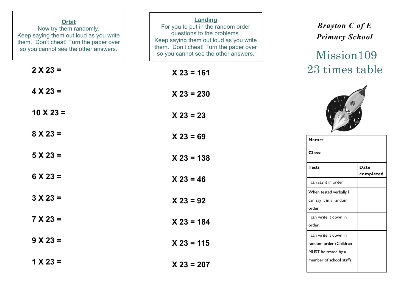| <b>Orbit</b><br>Now try them randomly.<br>Keep saying them out loud as you write<br>them. Don't cheat! Turn the paper over<br>so you cannot see the other answers. | Landing<br>For you to put in the random order<br>questions to the problems.<br>Keep saying them out loud as you write<br>them. Don't cheat! Turn the paper over<br>so you cannot see the other answers. | <b>Brayton C of E</b><br><b>Primary School</b><br>Mission 109           |
|--------------------------------------------------------------------------------------------------------------------------------------------------------------------|---------------------------------------------------------------------------------------------------------------------------------------------------------------------------------------------------------|-------------------------------------------------------------------------|
| $2 X 23 =$                                                                                                                                                         | $X$ 23 = 161                                                                                                                                                                                            | 23 times table                                                          |
| $4 X 23 =$                                                                                                                                                         | $X 23 = 230$                                                                                                                                                                                            |                                                                         |
| $10 \times 23 =$                                                                                                                                                   | $X 23 = 23$                                                                                                                                                                                             |                                                                         |
| $8 X 23 =$                                                                                                                                                         | $X 23 = 69$                                                                                                                                                                                             | Name:                                                                   |
| $5 X 23 =$                                                                                                                                                         | $X$ 23 = 138                                                                                                                                                                                            | Class:<br><b>Tests</b><br><b>Date</b>                                   |
| $6 X 23 =$                                                                                                                                                         | $X 23 = 46$                                                                                                                                                                                             | completed<br>I can say it in order                                      |
| $3 X 23 =$                                                                                                                                                         | $X 23 = 92$                                                                                                                                                                                             | When tested verbally I<br>can say it in a random<br>order               |
| $7 X 23 =$                                                                                                                                                         | $X 23 = 184$                                                                                                                                                                                            | I can write it down in<br>order.                                        |
| $9 X 23 =$                                                                                                                                                         | $X$ 23 = 115                                                                                                                                                                                            | I can write it down in<br>random order (Children<br>MUST be tested by a |
| $1 X 23 =$                                                                                                                                                         | $X 23 = 207$                                                                                                                                                                                            | member of school staff)                                                 |